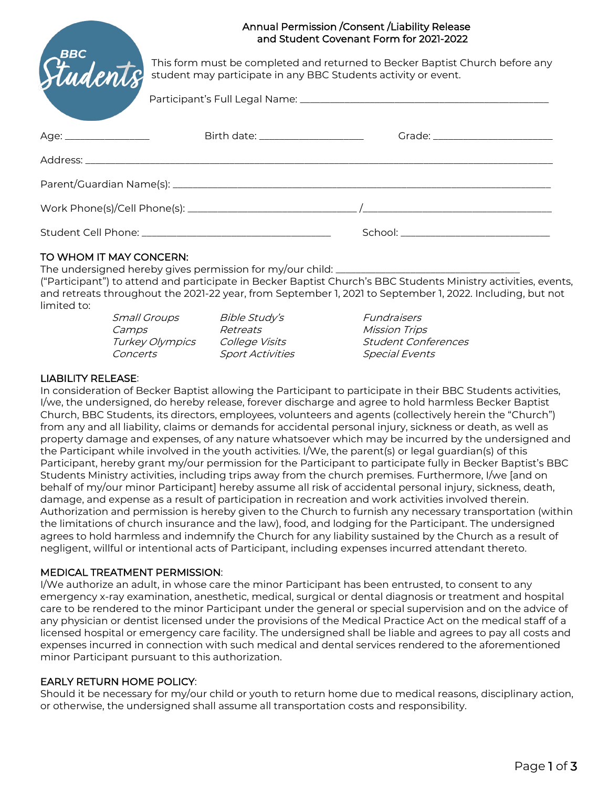| Students | Annual Permission / Consent / Liability Release<br>and Student Covenant Form for 2021-2022                                                     |                                      |  |
|----------|------------------------------------------------------------------------------------------------------------------------------------------------|--------------------------------------|--|
|          | This form must be completed and returned to Becker Baptist Church before any<br>student may participate in any BBC Students activity or event. |                                      |  |
|          |                                                                                                                                                |                                      |  |
|          | Birth date: _______________________                                                                                                            |                                      |  |
|          |                                                                                                                                                |                                      |  |
|          |                                                                                                                                                |                                      |  |
|          |                                                                                                                                                |                                      |  |
|          |                                                                                                                                                | School: ____________________________ |  |

# TO WHOM IT MAY CONCERN:

The undersigned hereby gives permission for my/our child: ("Participant") to attend and participate in Becker Baptist Church's BBC Students Ministry activities, events, and retreats throughout the 2021-22 year, from September 1, 2021 to September 1, 2022. Including, but not limited to:

| <i>Small Groups</i> | Bible Study's           | <i><b>Fundraisers</b></i>  |
|---------------------|-------------------------|----------------------------|
| Camps               | Retreats                | <b>Mission Trips</b>       |
| Turkey Olympics     | College Visits          | <b>Student Conferences</b> |
| Concerts            | <b>Sport Activities</b> | <b>Special Events</b>      |

## LIABILITY RELEASE:

In consideration of Becker Baptist allowing the Participant to participate in their BBC Students activities, I/we, the undersigned, do hereby release, forever discharge and agree to hold harmless Becker Baptist Church, BBC Students, its directors, employees, volunteers and agents (collectively herein the "Church") from any and all liability, claims or demands for accidental personal injury, sickness or death, as well as property damage and expenses, of any nature whatsoever which may be incurred by the undersigned and the Participant while involved in the youth activities. I/We, the parent(s) or legal guardian(s) of this Participant, hereby grant my/our permission for the Participant to participate fully in Becker Baptist's BBC Students Ministry activities, including trips away from the church premises. Furthermore, I/we [and on behalf of my/our minor Participant] hereby assume all risk of accidental personal injury, sickness, death, damage, and expense as a result of participation in recreation and work activities involved therein. Authorization and permission is hereby given to the Church to furnish any necessary transportation (within the limitations of church insurance and the law), food, and lodging for the Participant. The undersigned agrees to hold harmless and indemnify the Church for any liability sustained by the Church as a result of negligent, willful or intentional acts of Participant, including expenses incurred attendant thereto.

#### MEDICAL TREATMENT PERMISSION:

I/We authorize an adult, in whose care the minor Participant has been entrusted, to consent to any emergency x-ray examination, anesthetic, medical, surgical or dental diagnosis or treatment and hospital care to be rendered to the minor Participant under the general or special supervision and on the advice of any physician or dentist licensed under the provisions of the Medical Practice Act on the medical staff of a licensed hospital or emergency care facility. The undersigned shall be liable and agrees to pay all costs and expenses incurred in connection with such medical and dental services rendered to the aforementioned minor Participant pursuant to this authorization.

#### EARLY RETURN HOME POLICY:

Should it be necessary for my/our child or youth to return home due to medical reasons, disciplinary action, or otherwise, the undersigned shall assume all transportation costs and responsibility.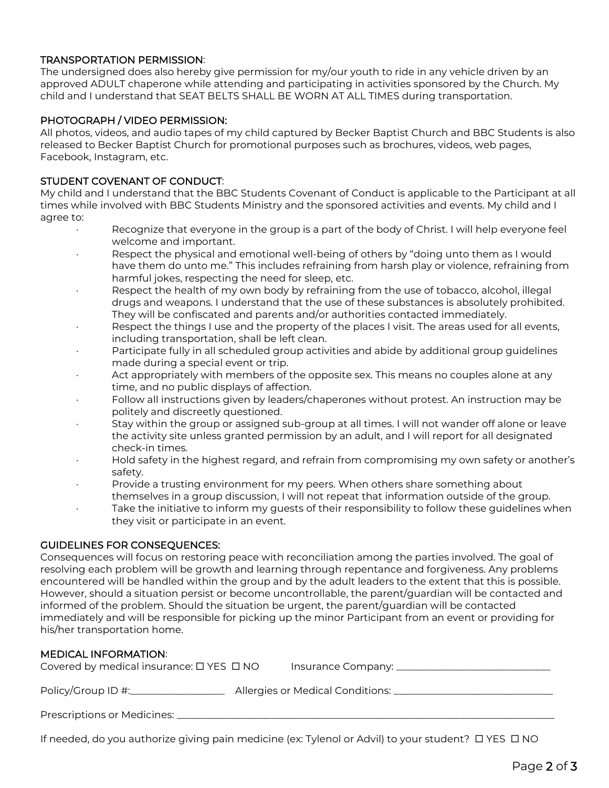## TRANSPORTATION PERMISSION:

The undersigned does also hereby give permission for my/our youth to ride in any vehicle driven by an approved ADULT chaperone while attending and participating in activities sponsored by the Church. My child and I understand that SEAT BELTS SHALL BE WORN AT ALL TIMES during transportation.

#### PHOTOGRAPH / VIDEO PERMISSION:

All photos, videos, and audio tapes of my child captured by Becker Baptist Church and BBC Students is also released to Becker Baptist Church for promotional purposes such as brochures, videos, web pages, Facebook, Instagram, etc.

## STUDENT COVENANT OF CONDUCT:

My child and I understand that the BBC Students Covenant of Conduct is applicable to the Participant at all times while involved with BBC Students Ministry and the sponsored activities and events. My child and I agree to:

- Recognize that everyone in the group is a part of the body of Christ. I will help everyone feel welcome and important.
- · Respect the physical and emotional well-being of others by "doing unto them as I would have them do unto me." This includes refraining from harsh play or violence, refraining from harmful jokes, respecting the need for sleep, etc.
- · Respect the health of my own body by refraining from the use of tobacco, alcohol, illegal drugs and weapons. I understand that the use of these substances is absolutely prohibited. They will be confiscated and parents and/or authorities contacted immediately.
- Respect the things I use and the property of the places I visit. The areas used for all events, including transportation, shall be left clean.
- Participate fully in all scheduled group activities and abide by additional group guidelines made during a special event or trip.
- Act appropriately with members of the opposite sex. This means no couples alone at any time, and no public displays of affection.
- Follow all instructions given by leaders/chaperones without protest. An instruction may be politely and discreetly questioned.
- · Stay within the group or assigned sub-group at all times. I will not wander off alone or leave the activity site unless granted permission by an adult, and I will report for all designated check-in times.
- · Hold safety in the highest regard, and refrain from compromising my own safety or another's safety.
- · Provide a trusting environment for my peers. When others share something about
- themselves in a group discussion, I will not repeat that information outside of the group.
- Take the initiative to inform my guests of their responsibility to follow these guidelines when they visit or participate in an event.

#### GUIDELINES FOR CONSEQUENCES:

Consequences will focus on restoring peace with reconciliation among the parties involved. The goal of resolving each problem will be growth and learning through repentance and forgiveness. Any problems encountered will be handled within the group and by the adult leaders to the extent that this is possible. However, should a situation persist or become uncontrollable, the parent/guardian will be contacted and informed of the problem. Should the situation be urgent, the parent/guardian will be contacted immediately and will be responsible for picking up the minor Participant from an event or providing for his/her transportation home.

## MEDICAL INFORMATION:

| Covered by medical insurance: $\square$ YES $\square$ NO | Insurance Company: __________       |
|----------------------------------------------------------|-------------------------------------|
| Policy/Group ID #:_                                      | Allergies or Medical Conditions: __ |
| Prescriptions or Medicines:                              |                                     |

If needed, do you authorize giving pain medicine (ex: Tylenol or Advil) to your student?  $\Box$  YES  $\Box$  NO